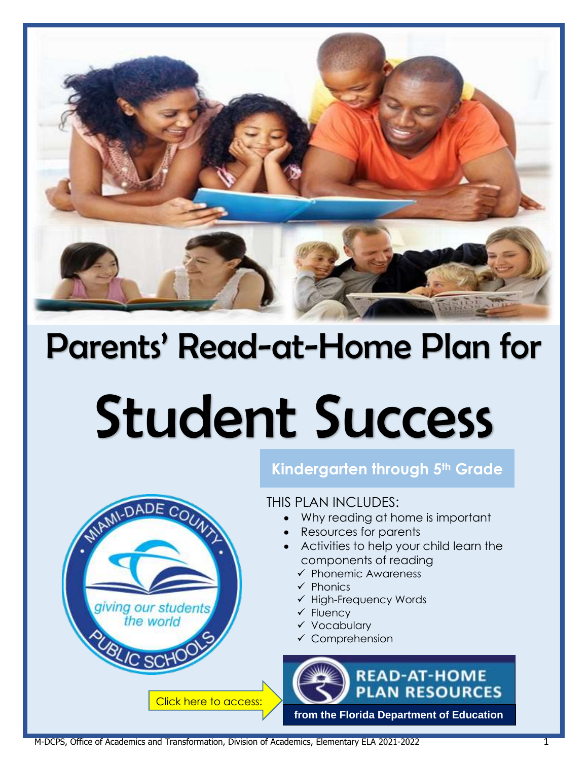

## Parents' Read-at-Home Plan for

# Student Success

## **Kindergarten through 5th Grade**

THIS PLAN INCLUDES:

- Why reading at home is important
- Resources for parents
- Activities to help your child learn the components of reading
	- ✓ Phonemic Awareness
	- ✓ Phonics
	- ✓ High-Frequency Words
	- ✓ Fluency
	- ✓ Vocabulary
	- ✓ Comprehension
	- **READ-AT-HOME PLAN RESOURCES from the [Florida Department of Education](http://api.dadeschools.net/WMSFiles/184/PDFs/read%20at%20home/FLDOE%20Read-at-Home%20Plan%20(English).pdf)**

M-DCPS, Office of Academics and Transformation, Division of Academics, Elementary ELA 2021-2022 1

Click here to access:

DADE COUNTY

giving our students the world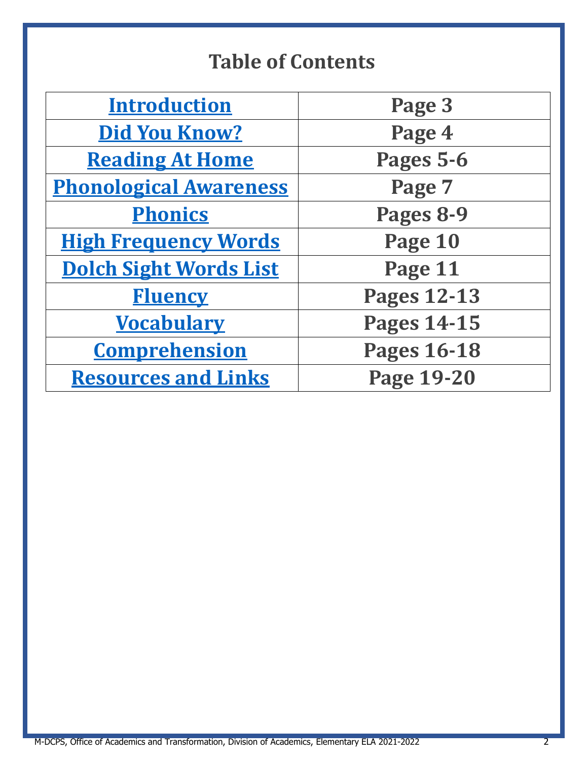## **Table of Contents**

| <b>Introduction</b>           | Page 3             |
|-------------------------------|--------------------|
| <b>Did You Know?</b>          | Page 4             |
| <b>Reading At Home</b>        | Pages 5-6          |
| <b>Phonological Awareness</b> | Page 7             |
| <b>Phonics</b>                | Pages 8-9          |
| <b>High Frequency Words</b>   | Page 10            |
| <b>Dolch Sight Words List</b> | Page 11            |
| <b>Fluency</b>                | <b>Pages 12-13</b> |
| <b>Vocabulary</b>             | <b>Pages 14-15</b> |
| <b>Comprehension</b>          | <b>Pages 16-18</b> |
| <b>Resources and Links</b>    | <b>Page 19-20</b>  |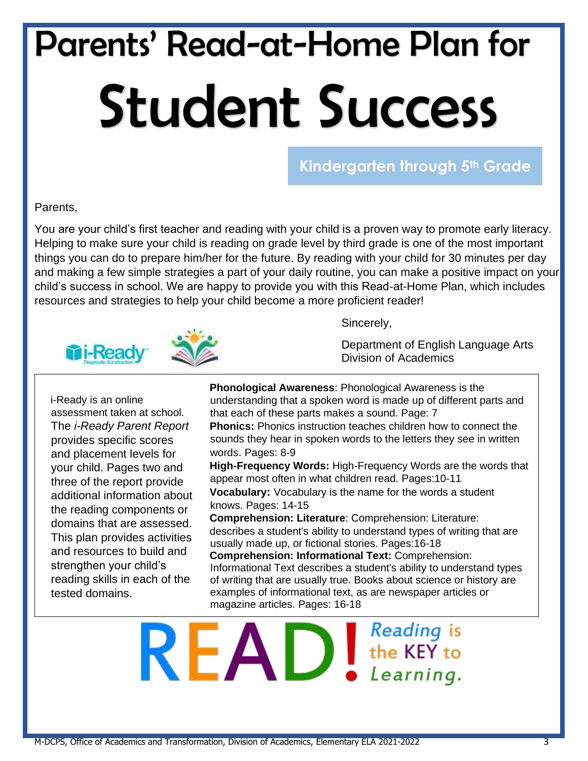## Parents' Read-at-Home Plan for Student Success

**Kindergarten through 5th Grade**

#### Parents,

You are your child's first teacher and reading with your child is a proven way to promote early literacy. Helping to make sure your child is reading on grade level by third grade is one of the most important things you can do to prepare him/her for the future. By reading with your child for 30 minutes per day and making a few simple strategies a part of your daily routine, you can make a positive impact on your child's success in school. We are happy to provide you with this Read-at-Home Plan, which includes resources and strategies to help your child become a more proficient reader!



i-Ready is an online assessment taken at school. The *i-Ready Parent Report* provides specific scores and placement levels for your child. Pages two and three of the report provide additional information about the reading components or domains that are assessed. This plan provides activities and resources to build and strengthen your child's reading skills in each of the tested domains.

Sincerely,

Department of English Language Arts Division of Academics

**Phonological Awareness**: Phonological Awareness is the understanding that a spoken word is made up of different parts and that each of these parts makes a sound. Page: 7 **Phonics:** Phonics instruction teaches children how to connect the sounds they hear in spoken words to the letters they see in written words. Pages: 8-9 **High-Frequency Words:** High-Frequency Words are the words that appear most often in what children read. Pages:10-11 **Vocabulary:** Vocabulary is the name for the words a student knows. Pages: 14-15 **Comprehension: Literature**: Comprehension: Literature: describes a student's ability to understand types of writing that are usually made up, or fictional stories. Pages:16-18 **Comprehension: Informational Text:** Comprehension:

Informational Text describes a student's ability to understand types of writing that are usually true. Books about science or history are examples of informational text, as are newspaper articles or magazine articles. Pages: 16-18

Reading is  $R$  $E$  $D$   $S$ <sub>be KEY to</sub> Learning.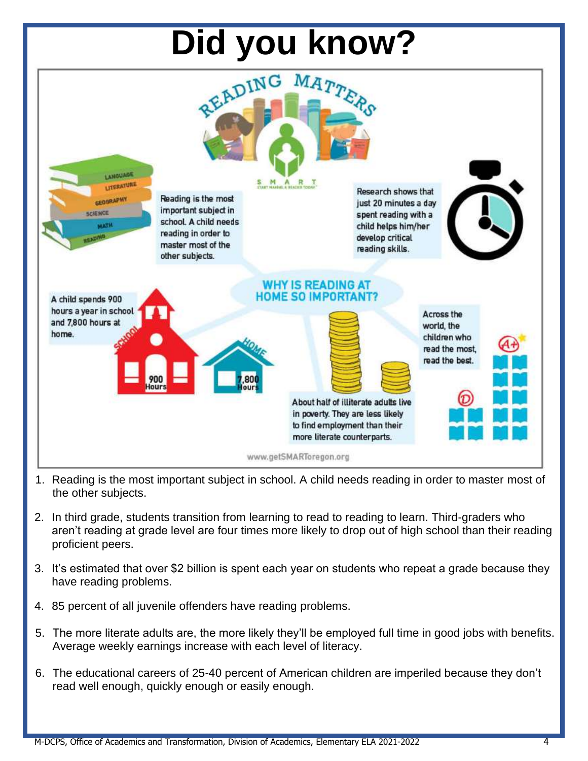

- 1. Reading is the most important subject in school. A child needs reading in order to master most of the other subjects.
- 2. In third grade, students transition from learning to read to reading to learn. Third-graders who aren't reading at grade level are four times more likely to drop out of high school than their reading proficient peers.
- 3. It's estimated that over \$2 billion is spent each year on students who repeat a grade because they have reading problems.
- 4. 85 percent of all juvenile offenders have reading problems.
- 5. The more literate adults are, the more likely they'll be employed full time in good jobs with benefits. Average weekly earnings increase with each level of literacy.
- 6. The educational careers of 25-40 percent of American children are imperiled because they don't read well enough, quickly enough or easily enough.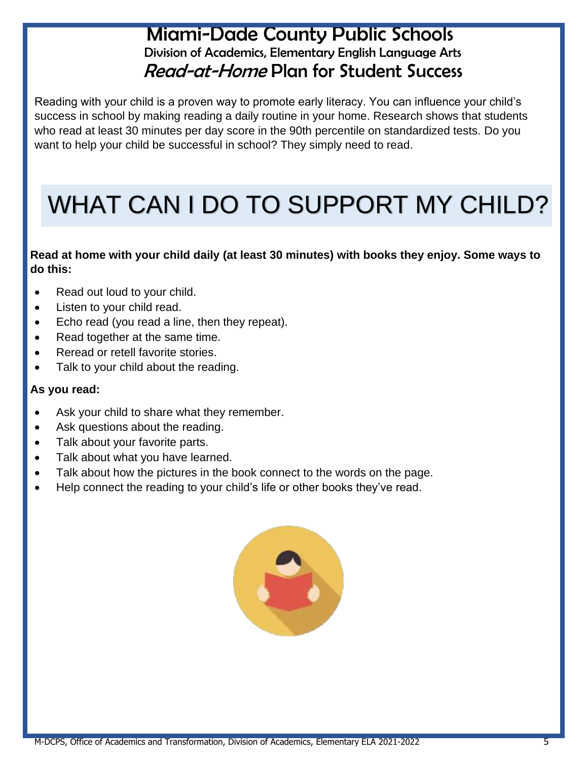## Miami-Dade County Public Schools Division of Academics, Elementary English Language Arts Read-at-Home Plan for Student Success

Reading with your child is a proven way to promote early literacy. You can influence your child's success in school by making reading a daily routine in your home. Research shows that students who read at least 30 minutes per day score in the 90th percentile on standardized tests. Do you want to help your child be successful in school? They simply need to read.

## WHAT CAN I DO TO SUPPORT MY CHILD?

**Read at home with your child daily (at least 30 minutes) with books they enjoy. Some ways to do this:** 

- Read out loud to your child.
- Listen to your child read.
- Echo read (you read a line, then they repeat).
- Read together at the same time.
- Reread or retell favorite stories.
- Talk to your child about the reading.

#### **As you read:**

- Ask your child to share what they remember.
- Ask questions about the reading.
- Talk about your favorite parts.
- Talk about what you have learned.
- Talk about how the pictures in the book connect to the words on the page.
- Help connect the reading to your child's life or other books they've read.

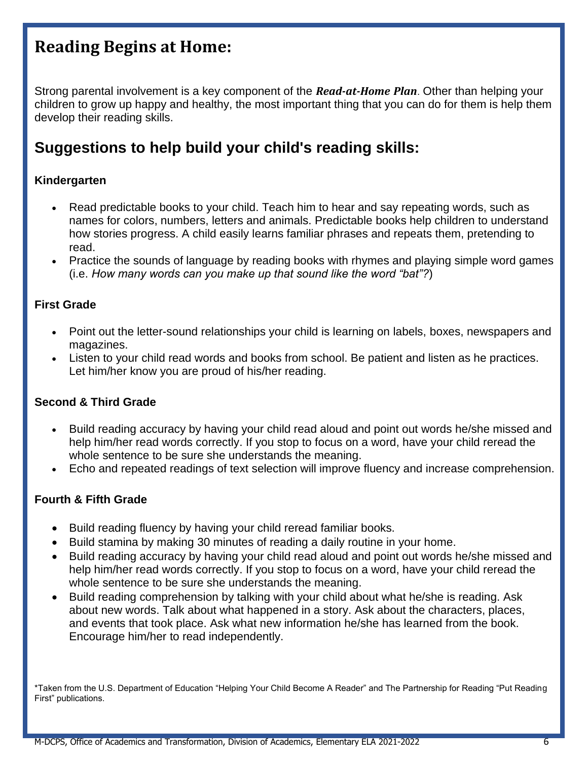## **Reading Begins at Home:**

Strong parental involvement is a key component of the *Read-at-Home Plan*. Other than helping your children to grow up happy and healthy, the most important thing that you can do for them is help them develop their reading skills.

## **Suggestions to help build your child's reading skills:**

#### **Kindergarten**

- Read predictable books to your child. Teach him to hear and say repeating words, such as names for colors, numbers, letters and animals. Predictable books help children to understand how stories progress. A child easily learns familiar phrases and repeats them, pretending to read.
- Practice the sounds of language by reading books with rhymes and playing simple word games (i.e. *How many words can you make up that sound like the word "bat"?*)

#### **First Grade**

- Point out the letter-sound relationships your child is learning on labels, boxes, newspapers and magazines.
- Listen to your child read words and books from school. Be patient and listen as he practices. Let him/her know you are proud of his/her reading.

#### **Second & Third Grade**

- Build reading accuracy by having your child read aloud and point out words he/she missed and help him/her read words correctly. If you stop to focus on a word, have your child reread the whole sentence to be sure she understands the meaning.
- Echo and repeated readings of text selection will improve fluency and increase comprehension.

#### **Fourth & Fifth Grade**

- Build reading fluency by having your child reread familiar books.
- Build stamina by making 30 minutes of reading a daily routine in your home.
- Build reading accuracy by having your child read aloud and point out words he/she missed and help him/her read words correctly. If you stop to focus on a word, have your child reread the whole sentence to be sure she understands the meaning.
- Build reading comprehension by talking with your child about what he/she is reading. Ask about new words. Talk about what happened in a story. Ask about the characters, places, and events that took place. Ask what new information he/she has learned from the book. Encourage him/her to read independently.

\*Taken from the U.S. Department of Education "Helping Your Child Become A Reader" and The Partnership for Reading "Put Reading First" publications.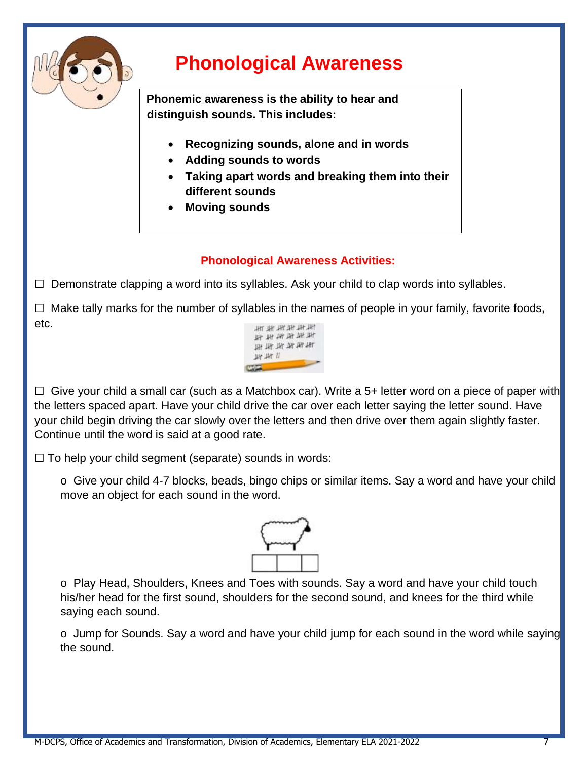

## **Phonological Awareness**

**Phonemic awareness is the ability to hear and distinguish sounds. This includes:**

- **Recognizing sounds, alone and in words**
- **Adding sounds to words**
- **Taking apart words and breaking them into their different sounds**
- **Moving sounds**

### **Phonological Awareness Activities:**

 $\Box$  Demonstrate clapping a word into its syllables. Ask your child to clap words into syllables.

 $\Box$  Make tally marks for the number of syllables in the names of people in your family, favorite foods, etc. 批批批批批



 $\Box$  Give your child a small car (such as a Matchbox car). Write a 5+ letter word on a piece of paper with the letters spaced apart. Have your child drive the car over each letter saying the letter sound. Have your child begin driving the car slowly over the letters and then drive over them again slightly faster. Continue until the word is said at a good rate.

 $\Box$  To help your child segment (separate) sounds in words:

o Give your child 4-7 blocks, beads, bingo chips or similar items. Say a word and have your child move an object for each sound in the word.



o Play Head, Shoulders, Knees and Toes with sounds. Say a word and have your child touch his/her head for the first sound, shoulders for the second sound, and knees for the third while saying each sound.

o Jump for Sounds. Say a word and have your child jump for each sound in the word while saying the sound.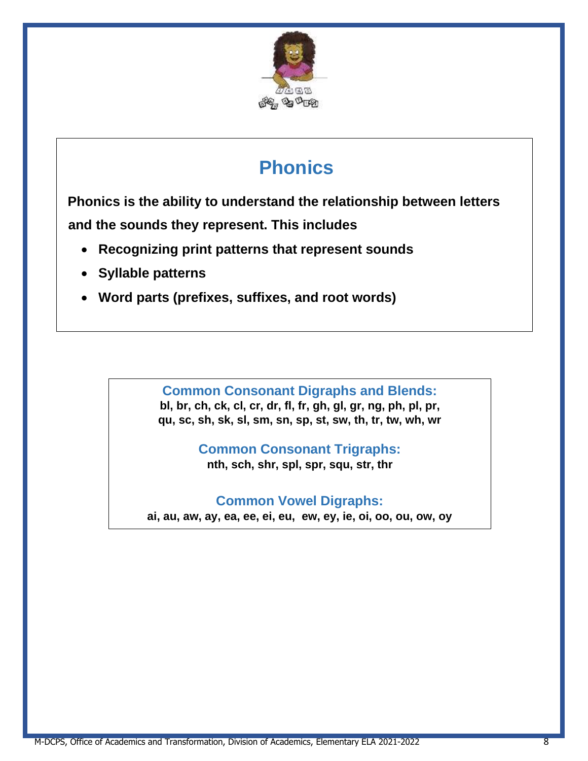

## **Phonics**

**Phonics is the ability to understand the relationship between letters and the sounds they represent. This includes**

- **Recognizing print patterns that represent sounds**
- **Syllable patterns**
- **Word parts (prefixes, suffixes, and root words)**

**Common Consonant Digraphs and Blends: bl, br, ch, ck, cl, cr, dr, fl, fr, gh, gl, gr, ng, ph, pl, pr, qu, sc, sh, sk, sl, sm, sn, sp, st, sw, th, tr, tw, wh, wr**

> **Common Consonant Trigraphs: nth, sch, shr, spl, spr, squ, str, thr**

**Common Vowel Digraphs:**

**ai, au, aw, ay, ea, ee, ei, eu, ew, ey, ie, oi, oo, ou, ow, oy**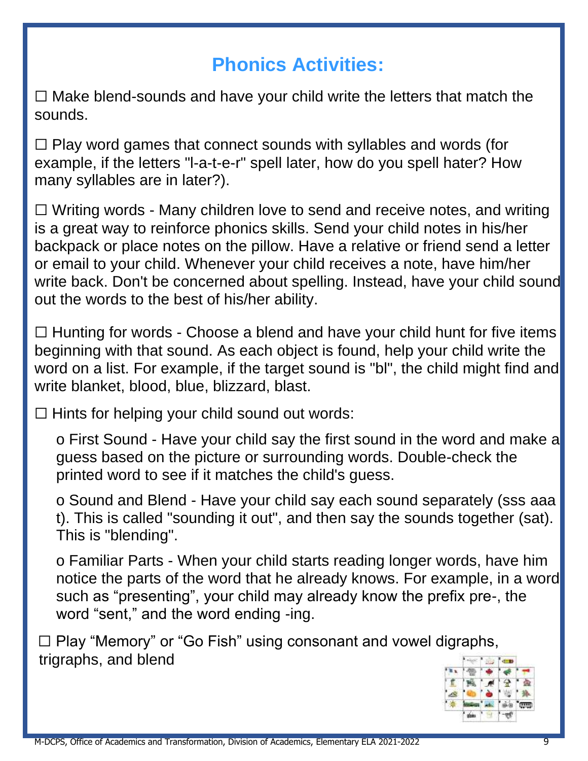## **Phonics Activities:**

 $\Box$  Make blend-sounds and have your child write the letters that match the sounds.

 $\Box$  Play word games that connect sounds with syllables and words (for example, if the letters "l-a-t-e-r" spell later, how do you spell hater? How many syllables are in later?).

☐ Writing words - Many children love to send and receive notes, and writing is a great way to reinforce phonics skills. Send your child notes in his/her backpack or place notes on the pillow. Have a relative or friend send a letter or email to your child. Whenever your child receives a note, have him/her write back. Don't be concerned about spelling. Instead, have your child sound out the words to the best of his/her ability.

 $\Box$  Hunting for words - Choose a blend and have your child hunt for five items beginning with that sound. As each object is found, help your child write the word on a list. For example, if the target sound is "bl", the child might find and write blanket, blood, blue, blizzard, blast.

 $\Box$  Hints for helping your child sound out words:

o First Sound - Have your child say the first sound in the word and make a guess based on the picture or surrounding words. Double-check the printed word to see if it matches the child's guess.

o Sound and Blend - Have your child say each sound separately (sss aaa t). This is called "sounding it out", and then say the sounds together (sat). This is "blending".

o Familiar Parts - When your child starts reading longer words, have him notice the parts of the word that he already knows. For example, in a word such as "presenting", your child may already know the prefix pre-, the word "sent," and the word ending -ing.

☐ Play "Memory" or "Go Fish" using consonant and vowel digraphs, trigraphs, and blend

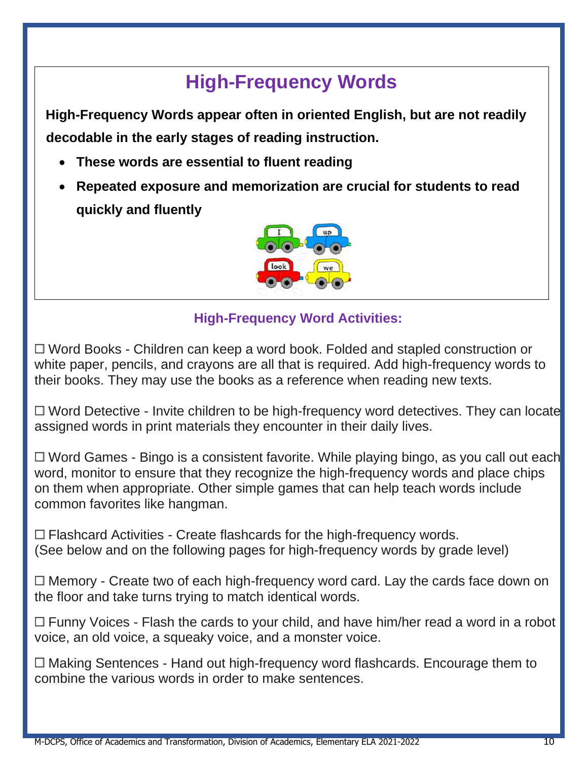## **High-Frequency Words**

**High-Frequency Words appear often in oriented English, but are not readily decodable in the early stages of reading instruction.**

- **These words are essential to fluent reading**
- **Repeated exposure and memorization are crucial for students to read quickly and fluently**



## **High-Frequency Word Activities:**

□ Word Books - Children can keep a word book. Folded and stapled construction or white paper, pencils, and crayons are all that is required. Add high-frequency words to their books. They may use the books as a reference when reading new texts.

 $\Box$  Word Detective - Invite children to be high-frequency word detectives. They can locate assigned words in print materials they encounter in their daily lives.

 $\Box$  Word Games - Bingo is a consistent favorite. While playing bingo, as you call out each word, monitor to ensure that they recognize the high-frequency words and place chips on them when appropriate. Other simple games that can help teach words include common favorites like hangman.

 $\Box$  Flashcard Activities - Create flashcards for the high-frequency words. (See below and on the following pages for high-frequency words by grade level)

 $\Box$  Memory - Create two of each high-frequency word card. Lay the cards face down on the floor and take turns trying to match identical words.

 $\Box$  Funny Voices - Flash the cards to your child, and have him/her read a word in a robot voice, an old voice, a squeaky voice, and a monster voice.

□ Making Sentences - Hand out high-frequency word flashcards. Encourage them to combine the various words in order to make sentences.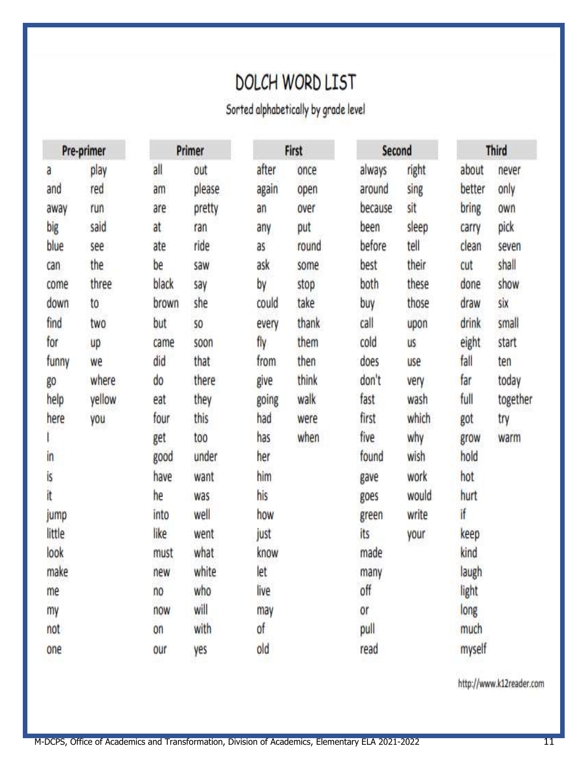## **DOLCH WORD LIST**

Sorted alphabetically by grade level

| Pre-primer |        | Primer |        | First |       | Second  |           | <b>Third</b> |          |
|------------|--------|--------|--------|-------|-------|---------|-----------|--------------|----------|
| a          | play   | all    | out    | after | once  | always  | right     | about        | never    |
| and        | red    | am     | please | again | open  | around  | sing      | better       | only     |
| away       | run    | are    | pretty | an    | over  | because | sit       | bring        | own      |
| big        | said   | at     | ran    | any   | put   | been    | sleep     | carry        | pick     |
| blue       | see    | ate    | ride   | as    | round | before  | tell      | clean        | seven    |
| can        | the    | be     | saw    | ask   | some  | best    | their     | cut          | shall    |
| come       | three  | black  | say    | bу    | stop  | both    | these     | done         | show     |
| down       | to     | brown  | she    | could | take  | buy     | those     | draw         | six      |
| find       | two    | but    | SO     | every | thank | call    | upon      | drink        | small    |
| for        | up     | came   | soon   | fly   | them  | cold    | <b>US</b> | eight        | start    |
| funny      | we     | did    | that   | from  | then  | does    | use       | fall         | ten      |
| go         | where  | do     | there  | give  | think | don't   | very      | far          | today    |
| help       | yellow | eat    | they   | going | walk  | fast    | wash      | full         | together |
| here       | you    | four   | this   | had   | were  | first   | which     | got          | try      |
|            |        | get    | too    | has   | when  | five    | why       | grow         | warm     |
| in         |        | good   | under  | her   |       | found   | wish      | hold         |          |
| İs         |        | have   | want   | him   |       | gave    | work      | hot          |          |
| it         |        | he     | was    | his   |       | goes    | would     | hurt         |          |
| jump       |        | into   | well   | how   |       | green   | write     | if           |          |
| little     |        | like   | went   | just  |       | its     | your      | keep         |          |
| look       |        | must   | what   | know  |       | made    |           | kind         |          |
| make       |        | new    | white  | let   |       | many    |           | laugh        |          |
| me         |        | no     | who    | live  |       | off     |           | light        |          |
| my         |        | now    | will   | may   |       | or      |           | long         |          |
| not        |        | on     | with   | of    |       | pull    |           | much         |          |
| one        |        | our    | yes    | old   |       | read    |           | myself       |          |

http://www.k12reader.com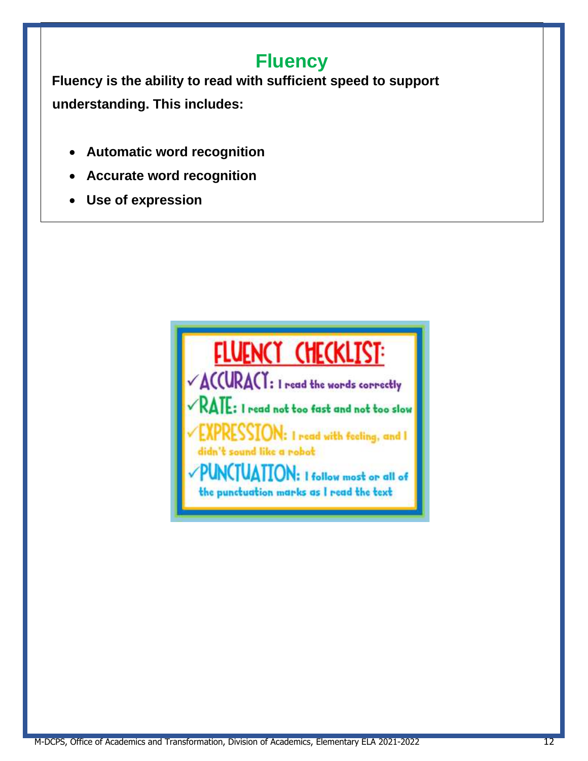## **Fluency**

**Fluency is the ability to read with sufficient speed to support understanding. This includes:**

- **Automatic word recognition**
- **Accurate word recognition**
- **Use of expression**

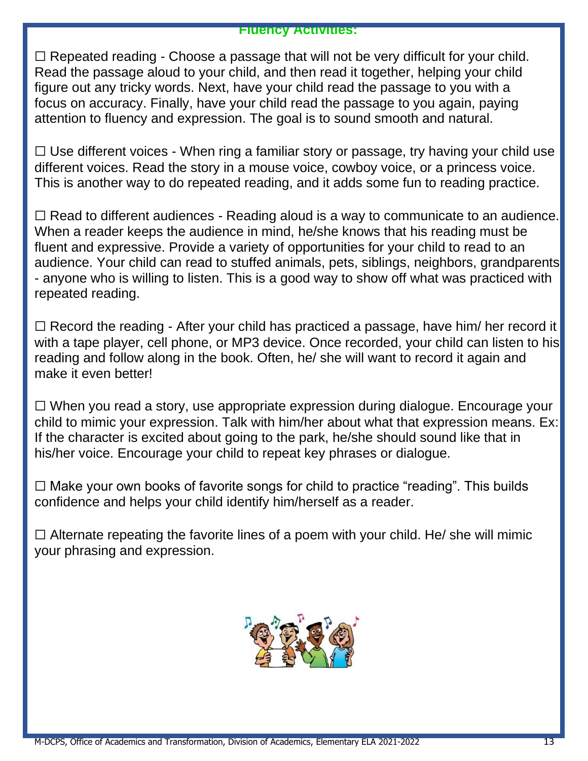#### **Fluency Activities:**

 $\Box$  Repeated reading - Choose a passage that will not be very difficult for your child. Read the passage aloud to your child, and then read it together, helping your child figure out any tricky words. Next, have your child read the passage to you with a focus on accuracy. Finally, have your child read the passage to you again, paying attention to fluency and expression. The goal is to sound smooth and natural.

 $\Box$  Use different voices - When ring a familiar story or passage, try having your child use different voices. Read the story in a mouse voice, cowboy voice, or a princess voice. This is another way to do repeated reading, and it adds some fun to reading practice.

 $\Box$  Read to different audiences - Reading aloud is a way to communicate to an audience. When a reader keeps the audience in mind, he/she knows that his reading must be fluent and expressive. Provide a variety of opportunities for your child to read to an audience. Your child can read to stuffed animals, pets, siblings, neighbors, grandparents - anyone who is willing to listen. This is a good way to show off what was practiced with repeated reading.

 $\Box$  Record the reading - After your child has practiced a passage, have him/ her record it with a tape player, cell phone, or MP3 device. Once recorded, your child can listen to his reading and follow along in the book. Often, he/ she will want to record it again and make it even better!

☐ When you read a story, use appropriate expression during dialogue. Encourage your child to mimic your expression. Talk with him/her about what that expression means. Ex: If the character is excited about going to the park, he/she should sound like that in his/her voice. Encourage your child to repeat key phrases or dialogue.

 $\Box$  Make your own books of favorite songs for child to practice "reading". This builds confidence and helps your child identify him/herself as a reader.

 $\Box$  Alternate repeating the favorite lines of a poem with your child. He/ she will mimic your phrasing and expression.

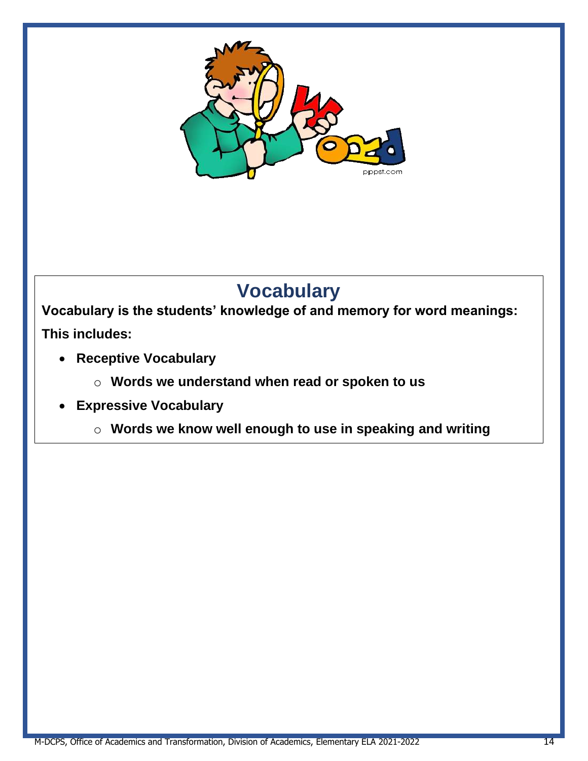

## **Vocabulary**

**Vocabulary is the students' knowledge of and memory for word meanings: This includes:**

- **Receptive Vocabulary**
	- o **Words we understand when read or spoken to us**
- **Expressive Vocabulary**
	- o **Words we know well enough to use in speaking and writing**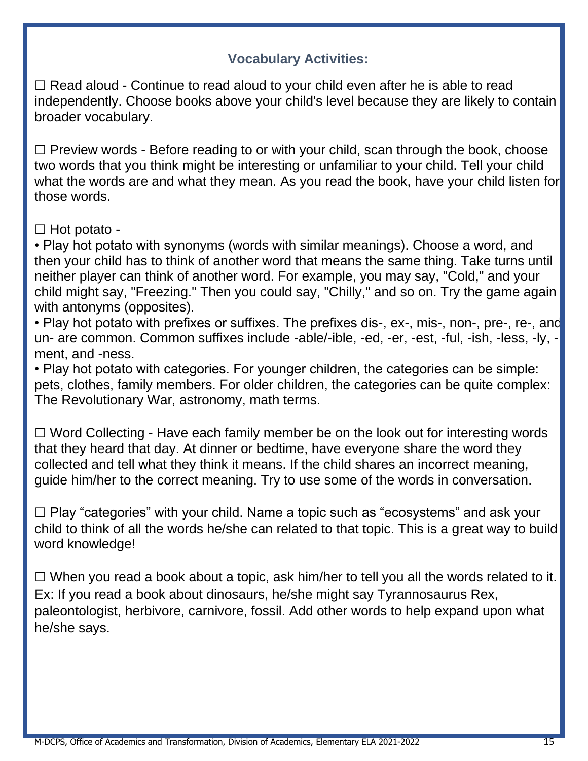## **Vocabulary Activities:**

□ Read aloud - Continue to read aloud to your child even after he is able to read independently. Choose books above your child's level because they are likely to contain broader vocabulary.

 $\Box$  Preview words - Before reading to or with your child, scan through the book, choose two words that you think might be interesting or unfamiliar to your child. Tell your child what the words are and what they mean. As you read the book, have your child listen for those words.

 $\Box$  Hot potato -

• Play hot potato with synonyms (words with similar meanings). Choose a word, and then your child has to think of another word that means the same thing. Take turns until neither player can think of another word. For example, you may say, "Cold," and your child might say, "Freezing." Then you could say, "Chilly," and so on. Try the game again with antonyms (opposites).

• Play hot potato with prefixes or suffixes. The prefixes dis-, ex-, mis-, non-, pre-, re-, and un- are common. Common suffixes include -able/-ible, -ed, -er, -est, -ful, -ish, -less, -ly, ment, and -ness.

• Play hot potato with categories. For younger children, the categories can be simple: pets, clothes, family members. For older children, the categories can be quite complex: The Revolutionary War, astronomy, math terms.

☐ Word Collecting - Have each family member be on the look out for interesting words that they heard that day. At dinner or bedtime, have everyone share the word they collected and tell what they think it means. If the child shares an incorrect meaning, guide him/her to the correct meaning. Try to use some of the words in conversation.

☐ Play "categories" with your child. Name a topic such as "ecosystems" and ask your child to think of all the words he/she can related to that topic. This is a great way to build word knowledge!

 $\Box$  When you read a book about a topic, ask him/her to tell you all the words related to it. Ex: If you read a book about dinosaurs, he/she might say Tyrannosaurus Rex, paleontologist, herbivore, carnivore, fossil. Add other words to help expand upon what he/she says.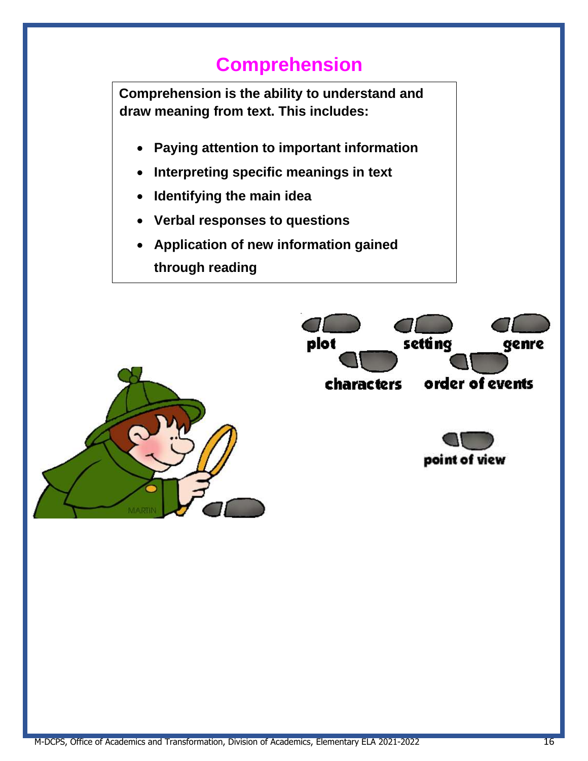## **Comprehension**

**Comprehension is the ability to understand and draw meaning from text. This includes:** • **Paying attention to important information** • **Interpreting specific meanings in text** • **Identifying the main idea** • **Verbal responses to questions** • **Application of new information gained through reading**setting plot genre order of events characters point of view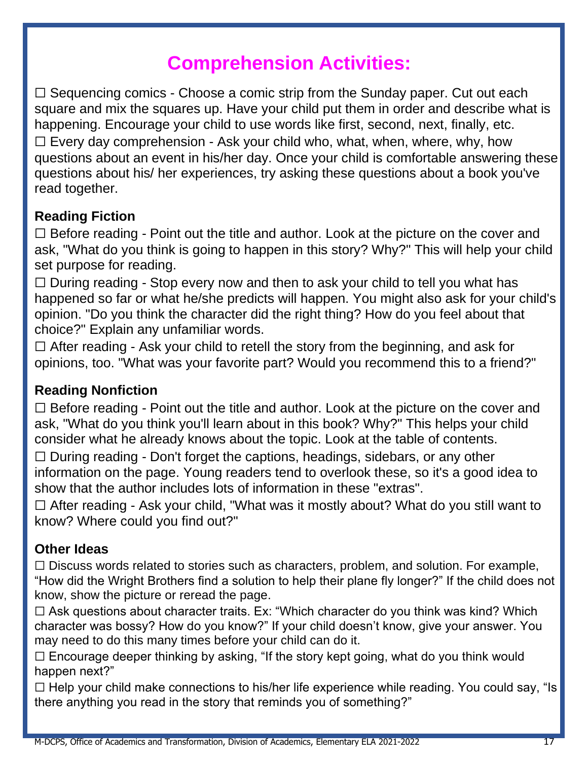## **Comprehension Activities:**

 $\Box$  Sequencing comics - Choose a comic strip from the Sunday paper. Cut out each square and mix the squares up. Have your child put them in order and describe what is happening. Encourage your child to use words like first, second, next, finally, etc.  $\Box$  Every day comprehension - Ask your child who, what, when, where, why, how questions about an event in his/her day. Once your child is comfortable answering these questions about his/ her experiences, try asking these questions about a book you've read together.

## **Reading Fiction**

 $\Box$  Before reading - Point out the title and author. Look at the picture on the cover and ask, "What do you think is going to happen in this story? Why?" This will help your child set purpose for reading.

 $\Box$  During reading - Stop every now and then to ask your child to tell you what has happened so far or what he/she predicts will happen. You might also ask for your child's opinion. "Do you think the character did the right thing? How do you feel about that choice?" Explain any unfamiliar words.

 $\Box$  After reading - Ask your child to retell the story from the beginning, and ask for opinions, too. "What was your favorite part? Would you recommend this to a friend?"

## **Reading Nonfiction**

 $\Box$  Before reading - Point out the title and author. Look at the picture on the cover and ask, "What do you think you'll learn about in this book? Why?" This helps your child consider what he already knows about the topic. Look at the table of contents.

☐ During reading - Don't forget the captions, headings, sidebars, or any other information on the page. Young readers tend to overlook these, so it's a good idea to show that the author includes lots of information in these "extras".

 $\Box$  After reading - Ask your child, "What was it mostly about? What do you still want to know? Where could you find out?"

## **Other Ideas**

☐ Discuss words related to stories such as characters, problem, and solution. For example, "How did the Wright Brothers find a solution to help their plane fly longer?" If the child does not know, show the picture or reread the page.

 $\Box$  Ask questions about character traits. Ex: "Which character do you think was kind? Which character was bossy? How do you know?" If your child doesn't know, give your answer. You may need to do this many times before your child can do it.

 $\Box$  Encourage deeper thinking by asking, "If the story kept going, what do you think would happen next?"

 $\Box$  Help your child make connections to his/her life experience while reading. You could say, "Is there anything you read in the story that reminds you of something?"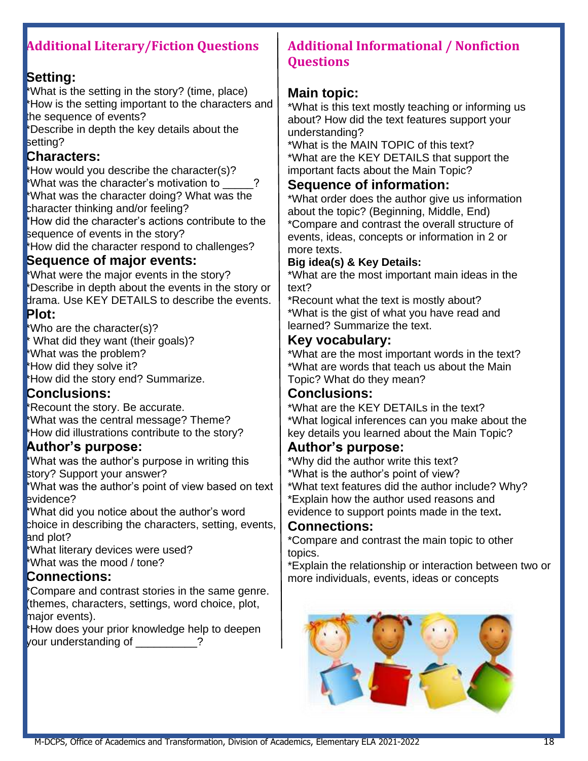## **Additional Literary/Fiction Questions**

## **Setting:**

\*What is the setting in the story? (time, place) \*How is the setting important to the characters and the sequence of events?

\*Describe in depth the key details about the setting?

## **Characters:**

\*How would you describe the character(s)? \*What was the character's motivation to \_\_\_\_\_? \*What was the character doing? What was the character thinking and/or feeling?

\*How did the character's actions contribute to the sequence of events in the story?

\*How did the character respond to challenges?

### **Sequence of major events:**

\*What were the major events in the story? \*Describe in depth about the events in the story or drama. Use KEY DETAILS to describe the events. **Plot:** 

\*Who are the character(s)? \* What did they want (their goals)?

\*What was the problem?

\*How did they solve it?

\*How did the story end? Summarize.

## **Conclusions:**

\*Recount the story. Be accurate. \*What was the central message? Theme? \*How did illustrations contribute to the story?

## **Author's purpose:**

\*What was the author's purpose in writing this story? Support your answer?

\*What was the author's point of view based on text evidence?

\*What did you notice about the author's word choice in describing the characters, setting, events,

and plot? \*What literary devices were used?

\*What was the mood / tone?

## **Connections:**

\*Compare and contrast stories in the same genre. (themes, characters, settings, word choice, plot, major events).

\*How does your prior knowledge help to deepen your understanding of \_\_\_\_\_\_\_\_\_?

## **Additional Informational / Nonfiction Questions**

## **Main topic:**

\*What is this text mostly teaching or informing us about? How did the text features support your understanding?

\*What is the MAIN TOPIC of this text? \*What are the KEY DETAILS that support the important facts about the Main Topic?

## **Sequence of information:**

\*What order does the author give us information about the topic? (Beginning, Middle, End) \*Compare and contrast the overall structure of events, ideas, concepts or information in 2 or more texts.

#### **Big idea(s) & Key Details:**

\*What are the most important main ideas in the text?

\*Recount what the text is mostly about? \*What is the gist of what you have read and learned? Summarize the text.

### **Key vocabulary:**

\*What are the most important words in the text? \*What are words that teach us about the Main Topic? What do they mean?

## **Conclusions:**

\*What are the KEY DETAILs in the text? \*What logical inferences can you make about the key details you learned about the Main Topic?

#### **Author's purpose:**

\*Why did the author write this text? \*What is the author's point of view? \*What text features did the author include? Why?

\*Explain how the author used reasons and

evidence to support points made in the text**.** 

#### **Connections:**

\*Compare and contrast the main topic to other topics.

\*Explain the relationship or interaction between two or more individuals, events, ideas or concepts

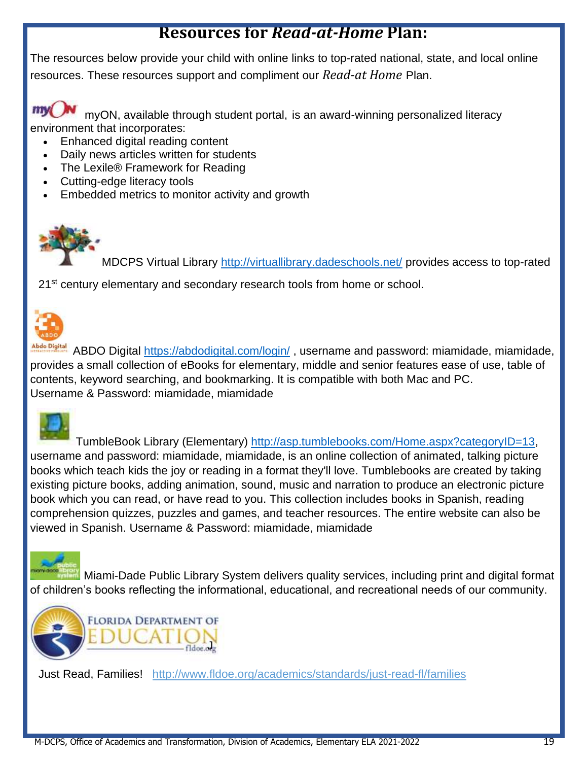## **Resources for** *Read-at-Home* **Plan:**

The resources below provide your child with online links to top-rated national, state, and local online resources. These resources support and compliment our *Read-at Home* Plan.

mv myON, available through student portal, is an award-winning personalized literacy environment that incorporates:

- Enhanced digital reading content
- Daily news articles written for students
- The Lexile® Framework for Reading
- Cutting-edge literacy tools
- Embedded metrics to monitor activity and growth



MDCPS Virtual Library<http://virtuallibrary.dadeschools.net/> provides access to top-rated

21<sup>st</sup> century elementary and secondary research tools from home or school.



Abde Digital ABDO Digital<https://abdodigital.com/login/>, username and password: miamidade, miamidade, provides a small collection of eBooks for elementary, middle and senior features ease of use, table of contents, keyword searching, and bookmarking. It is compatible with both Mac and PC. Username & Password: miamidade, miamidade



 TumbleBook Library (Elementary) [http://asp.tumblebooks.com/Home.aspx?categoryID=13,](http://asp.tumblebooks.com/Home.aspx?categoryID=13) username and password: miamidade, miamidade, is an online collection of animated, talking picture books which teach kids the joy or reading in a format they'll love. Tumblebooks are created by taking existing picture books, adding animation, sound, music and narration to produce an electronic picture book which you can read, or have read to you. This collection includes books in Spanish, reading comprehension quizzes, puzzles and games, and teacher resources. The entire website can also be viewed in Spanish. Username & Password: miamidade, miamidade

Miami-Dade Public Library System delivers quality services, including print and digital format of children's books reflecting the informational, educational, and recreational needs of our community.



Just Read, Families! <http://www.fldoe.org/academics/standards/just-read-fl/families>